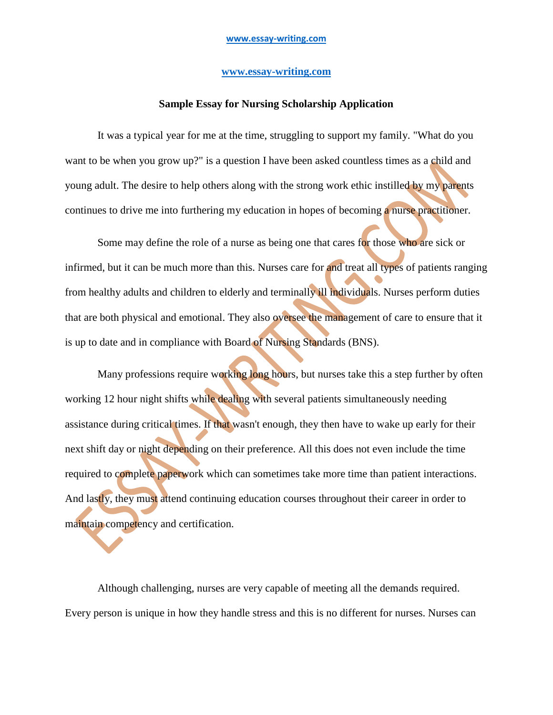## **[www.essay-writing.com](http://www.essay-writing.com/)**

## **Sample Essay for Nursing Scholarship Application**

It was a typical year for me at the time, struggling to support my family. "What do you want to be when you grow up?" is a question I have been asked countless times as a child and young adult. The desire to help others along with the strong work ethic instilled by my parents continues to drive me into furthering my education in hopes of becoming a nurse practitioner.

Some may define the role of a nurse as being one that cares for those who are sick or infirmed, but it can be much more than this. Nurses care for and treat all types of patients ranging from healthy adults and children to elderly and terminally ill individuals. Nurses perform duties that are both physical and emotional. They also oversee the management of care to ensure that it is up to date and in compliance with Board of Nursing Standards (BNS).

Many professions require working long hours, but nurses take this a step further by often working 12 hour night shifts while dealing with several patients simultaneously needing assistance during critical times. If that wasn't enough, they then have to wake up early for their next shift day or night depending on their preference. All this does not even include the time required to complete paperwork which can sometimes take more time than patient interactions. And lastly, they must attend continuing education courses throughout their career in order to maintain competency and certification.

Although challenging, nurses are very capable of meeting all the demands required. Every person is unique in how they handle stress and this is no different for nurses. Nurses can